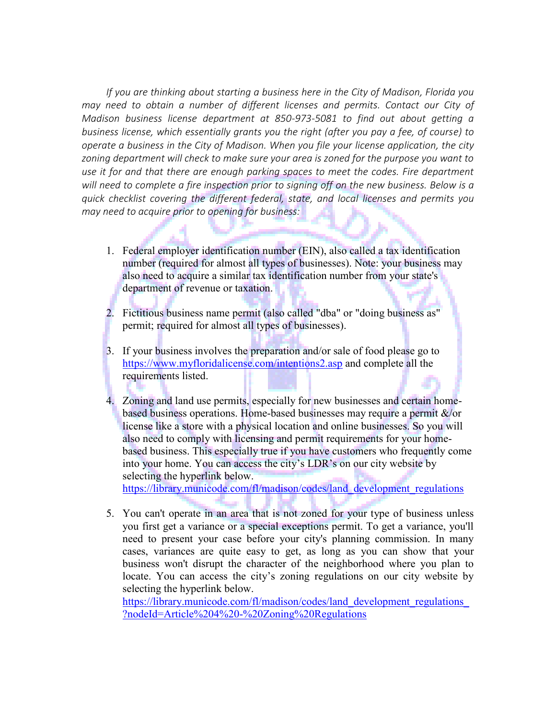*If you are thinking about [starting a business](https://smallbusiness.findlaw.com/starting-a-business.html) here in the City of Madison, Florida you may need to obtain a number of different [licenses and permits.](https://smallbusiness.findlaw.com/starting-a-business/business-licenses-and-permits.html) Contact our City of Madison business license department at 850-973-5081 to find out about getting a business license, which essentially grants you the right (after you pay a fee, of course) to operate a business in the City of Madison. When you file your license application, the city zoning department will check to make sure your area is zoned for the purpose you want to use it for and that there are enough parking spaces to meet the codes. Fire department will need to complete a fire inspection prior to signing off on the new business. Below is a quick checklist covering the different federal, state, and local [licenses and permits](https://smallbusiness.findlaw.com/starting-a-business/licenses-and-permits-overview.html) you may need to acquire prior to opening for business:*

- 1. Federal employer identification number (EIN), also called a [tax identification](https://smallbusiness.findlaw.com/business-taxes/employer-identification-number-ein-faq.html)  [number](https://smallbusiness.findlaw.com/business-taxes/employer-identification-number-ein-faq.html) (required for almost all types of businesses). Note: your business may also need to acquire a similar tax identification number from your state's department of revenue or taxation.
- 2. Fictitious business name permit (also called "dba" or ["doing business as"](https://smallbusiness.findlaw.com/starting-a-business/fictitious-business-names-do-you-need-one.html) permit; required for almost all types of businesses).
- 3. If your business involves the preparation and/or sale of food please go to <https://www.myfloridalicense.com/intentions2.asp> and complete all the requirements listed.
- 4. Zoning and land use permits, especially for new businesses and certain homebased business operations. Home-based businesses may require a permit &/or license like a store with a physical location and online businesses. So you will also need to comply with licensing and permit requirements for your [home](https://smallbusiness.findlaw.com/starting-a-business/home-based-businesses-overview.html)[based business.](https://smallbusiness.findlaw.com/starting-a-business/home-based-businesses-overview.html) This especially true if you have customers who frequently come into your home. You can access the city's LDR's on our city website by selecting the hyperlink below.

https://library.municode.com/fl/madison/codes/land\_development\_regulations

5. You can't operate in an area that is not zoned for your type of business unless you first get a variance or a special exceptions permit. To get a variance, you'll need to present your case before your city's planning commission. In many cases, variances are quite easy to get, as long as you can show that your business won't disrupt the character of the neighborhood where you plan to locate. You can access the city's zoning regulations on our city website by selecting the hyperlink below.

https://library.municode.com/fl/madison/codes/land\_development\_regulations ?nodeId=Article%204%20-%20Zoning%20Regulations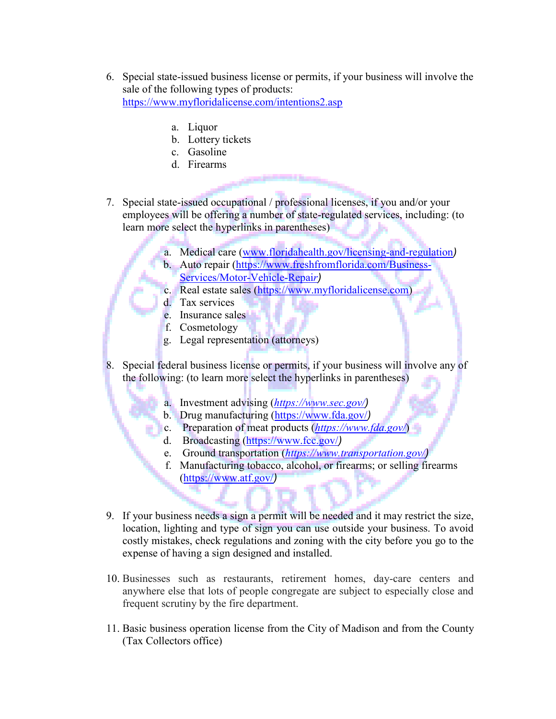- 6. Special state-issued business license or permits, if your business will involve the sale of the following types of products: <https://www.myfloridalicense.com/intentions2.asp>
	- a. Liquor
	- b. Lottery tickets
	- c. Gasoline
	- d. Firearms
- 7. Special state-issued occupational / professional licenses, if you and/or your employees will be offering a number of state-regulated services, including: (to learn more select the hyperlinks in parentheses)
	- a. Medical care (www.floridahealth.gov/licensing-and-regulation*)*
	- b. Auto repair (https://www.freshfromflorida.com/Business-Services/Motor-Vehicle-Repai*r)*
	- c. Real estate sales (https://www.myfloridalicense.com)
	- d. Tax services
	- e. Insurance sales
	- f. Cosmetology
	- g. Legal representation (attorneys)
- 8. Special federal business license or permits, if your business will involve any of the following: (to learn more select the hyperlinks in parentheses)
	- a. Investment advising (*https://www.sec.gov/)*
	- b. Drug manufacturing (https://www.fda.gov/*)*
	- c. Preparation of meat products (*https://www.fda.gov/*)
	- d. Broadcasting (https://www.fcc.gov/*)*
	- e. Ground transportation (*https://www.transportation.gov/)*
	- f. Manufacturing tobacco, alcohol, or firearms; or selling firearms (https://www.atf.gov/*)*
- 9. If your business needs a sign a permit will be needed and it may restrict the size, location, lighting and type of sign you can use outside your business. To avoid costly mistakes, check regulations and zoning with the city before you go to the expense of having a sign designed and installed.
- 10. Businesses such as restaurants, retirement homes, day-care centers and anywhere else that lots of people congregate are subject to especially close and frequent scrutiny by the fire department.
- 11. Basic business operation license from the City of Madison and from the County (Tax Collectors office)